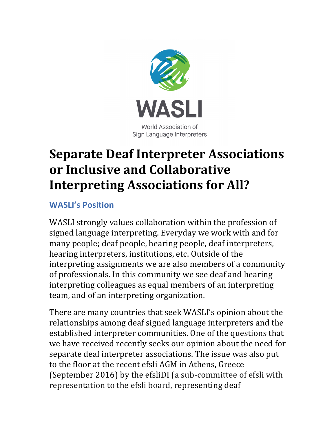

## **Separate Deaf Interpreter Associations or Inclusive and Collaborative Interpreting Associations for All?**

## **WASLI's Position**

WASLI strongly values collaboration within the profession of signed language interpreting. Everyday we work with and for many people; deaf people, hearing people, deaf interpreters, hearing interpreters, institutions, etc. Outside of the interpreting assignments we are also members of a community of professionals. In this community we see deaf and hearing interpreting colleagues as equal members of an interpreting team, and of an interpreting organization.

There are many countries that seek WASLI's opinion about the relationships among deaf signed language interpreters and the established interpreter communities. One of the questions that we have received recently seeks our opinion about the need for separate deaf interpreter associations. The issue was also put to the floor at the recent efsli AGM in Athens, Greece (September 2016) by the efsliDI (a sub-committee of efsli with representation to the efsli board, representing deaf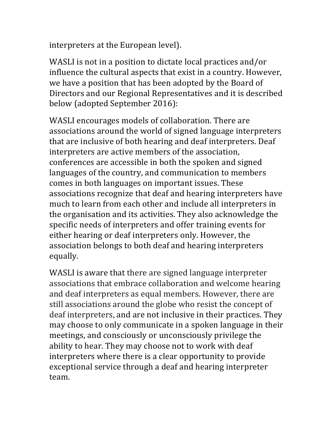interpreters at the European level).

WASLI is not in a position to dictate local practices and/or influence the cultural aspects that exist in a country. However, we have a position that has been adopted by the Board of Directors and our Regional Representatives and it is described below (adopted September 2016):

WASLI encourages models of collaboration. There are associations around the world of signed language interpreters that are inclusive of both hearing and deaf interpreters. Deaf interpreters are active members of the association, conferences are accessible in both the spoken and signed languages of the country, and communication to members comes in both languages on important issues. These associations recognize that deaf and hearing interpreters have much to learn from each other and include all interpreters in the organisation and its activities. They also acknowledge the specific needs of interpreters and offer training events for either hearing or deaf interpreters only. However, the association belongs to both deaf and hearing interpreters equally. 

WASLI is aware that there are signed language interpreter associations that embrace collaboration and welcome hearing and deaf interpreters as equal members. However, there are still associations around the globe who resist the concept of deaf interpreters, and are not inclusive in their practices. They may choose to only communicate in a spoken language in their meetings, and consciously or unconsciously privilege the ability to hear. They may choose not to work with deaf interpreters where there is a clear opportunity to provide exceptional service through a deaf and hearing interpreter team.